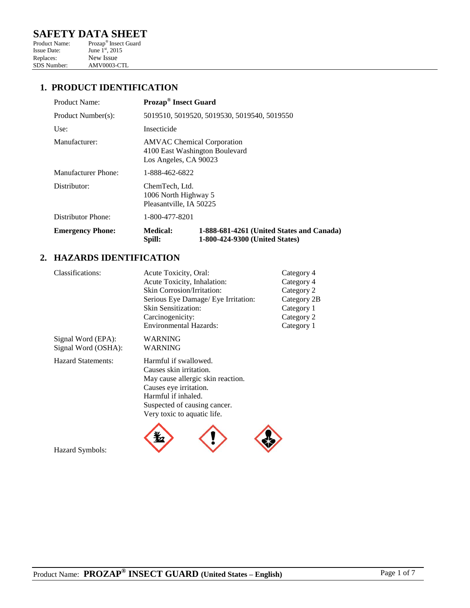# **SAFETY DATA SHEET**<br>Product Name: Prozap® Insect Guard

Product Name: Prozap<sup>®</sup> Insect Guard Issue Date: June  $1^{\text{st}}$ , 2015 Replaces: New Issue<br>SDS Number: AMV0003-0 AMV0003-CTL

## **1. PRODUCT IDENTIFICATION**

| Product Name:           | <b>Prozap<sup>®</sup></b> Insect Guard                                                       |                                                                             |
|-------------------------|----------------------------------------------------------------------------------------------|-----------------------------------------------------------------------------|
| Product Number(s):      | 5019510, 5019520, 5019530, 5019540, 5019550                                                  |                                                                             |
| Use:                    | Insecticide                                                                                  |                                                                             |
| Manufacturer:           | <b>AMVAC</b> Chemical Corporation<br>4100 East Washington Boulevard<br>Los Angeles, CA 90023 |                                                                             |
| Manufacturer Phone:     | 1-888-462-6822                                                                               |                                                                             |
| Distributor:            | ChemTech, Ltd.<br>1006 North Highway 5<br>Pleasantville, IA 50225                            |                                                                             |
| Distributor Phone:      | 1-800-477-8201                                                                               |                                                                             |
| <b>Emergency Phone:</b> | <b>Medical:</b><br>Spill:                                                                    | 1-888-681-4261 (United States and Canada)<br>1-800-424-9300 (United States) |

#### **2. HAZARDS IDENTIFICATION**

| Classifications:          | Acute Toxicity, Oral:               | Category 4  |  |
|---------------------------|-------------------------------------|-------------|--|
|                           | Acute Toxicity, Inhalation:         | Category 4  |  |
|                           | <b>Skin Corrosion/Irritation:</b>   | Category 2  |  |
|                           | Serious Eye Damage/ Eye Irritation: | Category 2B |  |
|                           | Skin Sensitization:                 | Category 1  |  |
|                           | Carcinogenicity:                    | Category 2  |  |
|                           | <b>Environmental Hazards:</b>       | Category 1  |  |
| Signal Word (EPA):        | WARNING                             |             |  |
| Signal Word (OSHA):       | WARNING                             |             |  |
| <b>Hazard Statements:</b> | Harmful if swallowed.               |             |  |
|                           | Causes skin irritation.             |             |  |
|                           | May cause allergic skin reaction.   |             |  |
|                           | Causes eye irritation.              |             |  |
|                           | Harmful if inhaled.                 |             |  |

Suspected of causing cancer. Very toxic to aquatic life.



Hazard Symbols: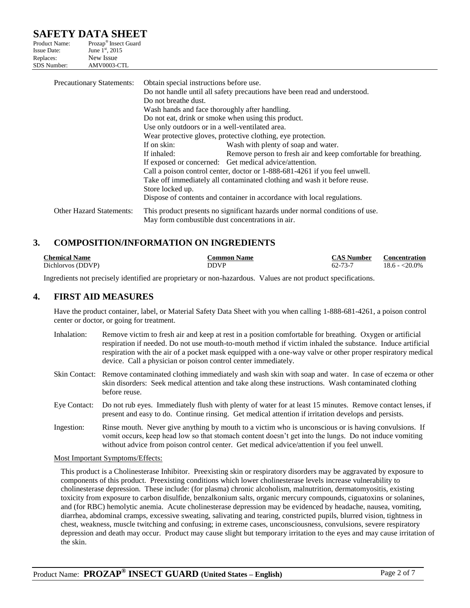# **SAFETY DATA SHEET**

| Product Name:      | Prozap <sup>®</sup> Insect Guard |
|--------------------|----------------------------------|
| <b>Issue Date:</b> | June 1 <sup>st</sup> , 2015      |
| Replaces:          | New Issue                        |
| <b>SDS</b> Number: | AMV0003-CTL                      |

| <b>Precautionary Statements:</b> | Obtain special instructions before use.                                  |                                                                              |
|----------------------------------|--------------------------------------------------------------------------|------------------------------------------------------------------------------|
|                                  |                                                                          | Do not handle until all safety precautions have been read and understood.    |
|                                  | Do not breathe dust.                                                     |                                                                              |
|                                  | Wash hands and face thoroughly after handling.                           |                                                                              |
|                                  |                                                                          | Do not eat, drink or smoke when using this product.                          |
|                                  | Use only outdoors or in a well-ventilated area.                          |                                                                              |
|                                  |                                                                          | Wear protective gloves, protective clothing, eye protection.                 |
|                                  | If on skin:                                                              | Wash with plenty of soap and water.                                          |
|                                  | If inhaled:                                                              | Remove person to fresh air and keep comfortable for breathing.               |
|                                  | If exposed or concerned: Get medical advice/attention.                   |                                                                              |
|                                  |                                                                          | Call a poison control center, doctor or 1-888-681-4261 if you feel unwell.   |
|                                  | Take off immediately all contaminated clothing and wash it before reuse. |                                                                              |
|                                  | Store locked up.                                                         |                                                                              |
|                                  |                                                                          | Dispose of contents and container in accordance with local regulations.      |
|                                  |                                                                          |                                                                              |
| <b>Other Hazard Statements:</b>  |                                                                          | This product presents no significant hazards under normal conditions of use. |
|                                  | May form combustible dust concentrations in air.                         |                                                                              |

## **3. COMPOSITION/INFORMATION ON INGREDIENTS**

| <b>Chemical Name</b> | <b>Common Name</b> | <b>CAS Number</b> | <b>Concentration</b> |
|----------------------|--------------------|-------------------|----------------------|
| Dichlorvos (DDVP)    | <b>DDVP</b>        | 62-73-7           | $18.6 - 20.0\%$      |

Ingredients not precisely identified are proprietary or non-hazardous. Values are not product specifications.

#### **4. FIRST AID MEASURES**

Have the product container, label, or Material Safety Data Sheet with you when calling 1-888-681-4261, a poison control center or doctor, or going for treatment.

- Inhalation: Remove victim to fresh air and keep at rest in a position comfortable for breathing. Oxygen or artificial respiration if needed. Do not use mouth-to-mouth method if victim inhaled the substance. Induce artificial respiration with the air of a pocket mask equipped with a one-way valve or other proper respiratory medical device. Call a physician or poison control center immediately.
- Skin Contact: Remove contaminated clothing immediately and wash skin with soap and water. In case of eczema or other skin disorders: Seek medical attention and take along these instructions. Wash contaminated clothing before reuse.
- Eye Contact: Do not rub eyes. Immediately flush with plenty of water for at least 15 minutes. Remove contact lenses, if present and easy to do. Continue rinsing. Get medical attention if irritation develops and persists.
- Ingestion: Rinse mouth. Never give anything by mouth to a victim who is unconscious or is having convulsions. If vomit occurs, keep head low so that stomach content doesn't get into the lungs. Do not induce vomiting without advice from poison control center. Get medical advice/attention if you feel unwell.

#### Most Important Symptoms/Effects:

This product is a Cholinesterase Inhibitor. Preexisting skin or respiratory disorders may be aggravated by exposure to components of this product. Preexisting conditions which lower cholinesterase levels increase vulnerability to cholinesterase depression. These include: (for plasma) chronic alcoholism, malnutrition, dermatomyositis, existing toxicity from exposure to carbon disulfide, benzalkonium salts, organic mercury compounds, ciguatoxins or solanines, and (for RBC) hemolytic anemia. Acute cholinesterase depression may be evidenced by headache, nausea, vomiting, diarrhea, abdominal cramps, excessive sweating, salivating and tearing, constricted pupils, blurred vision, tightness in chest, weakness, muscle twitching and confusing; in extreme cases, unconsciousness, convulsions, severe respiratory depression and death may occur. Product may cause slight but temporary irritation to the eyes and may cause irritation of the skin.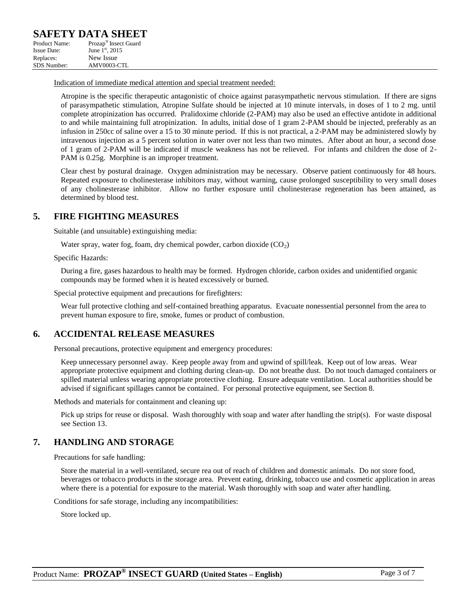Indication of immediate medical attention and special treatment needed:

Atropine is the specific therapeutic antagonistic of choice against parasympathetic nervous stimulation. If there are signs of parasympathetic stimulation, Atropine Sulfate should be injected at 10 minute intervals, in doses of 1 to 2 mg. until complete atropinization has occurred. Pralidoxime chloride (2-PAM) may also be used an effective antidote in additional to and while maintaining full atropinization. In adults, initial dose of 1 gram 2-PAM should be injected, preferably as an infusion in 250cc of saline over a 15 to 30 minute period. If this is not practical, a 2-PAM may be administered slowly by intravenous injection as a 5 percent solution in water over not less than two minutes. After about an hour, a second dose of 1 gram of 2-PAM will be indicated if muscle weakness has not be relieved. For infants and children the dose of 2- PAM is 0.25g. Morphine is an improper treatment.

Clear chest by postural drainage. Oxygen administration may be necessary. Observe patient continuously for 48 hours. Repeated exposure to cholinesterase inhibitors may, without warning, cause prolonged susceptibility to very small doses of any cholinesterase inhibitor. Allow no further exposure until cholinesterase regeneration has been attained, as determined by blood test.

#### **5. FIRE FIGHTING MEASURES**

Suitable (and unsuitable) extinguishing media:

Water spray, water fog, foam, dry chemical powder, carbon dioxide  $(CO<sub>2</sub>)$ 

Specific Hazards:

During a fire, gases hazardous to health may be formed. Hydrogen chloride, carbon oxides and unidentified organic compounds may be formed when it is heated excessively or burned.

Special protective equipment and precautions for firefighters:

Wear full protective clothing and self-contained breathing apparatus. Evacuate nonessential personnel from the area to prevent human exposure to fire, smoke, fumes or product of combustion.

#### **6. ACCIDENTAL RELEASE MEASURES**

Personal precautions, protective equipment and emergency procedures:

Keep unnecessary personnel away. Keep people away from and upwind of spill/leak. Keep out of low areas. Wear appropriate protective equipment and clothing during clean-up. Do not breathe dust. Do not touch damaged containers or spilled material unless wearing appropriate protective clothing. Ensure adequate ventilation. Local authorities should be advised if significant spillages cannot be contained. For personal protective equipment, see Section 8.

Methods and materials for containment and cleaning up:

Pick up strips for reuse or disposal. Wash thoroughly with soap and water after handling the strip(s). For waste disposal see Section 13.

#### **7. HANDLING AND STORAGE**

Precautions for safe handling:

Store the material in a well-ventilated, secure rea out of reach of children and domestic animals. Do not store food, beverages or tobacco products in the storage area. Prevent eating, drinking, tobacco use and cosmetic application in areas where there is a potential for exposure to the material. Wash thoroughly with soap and water after handling.

Conditions for safe storage, including any incompatibilities:

Store locked up.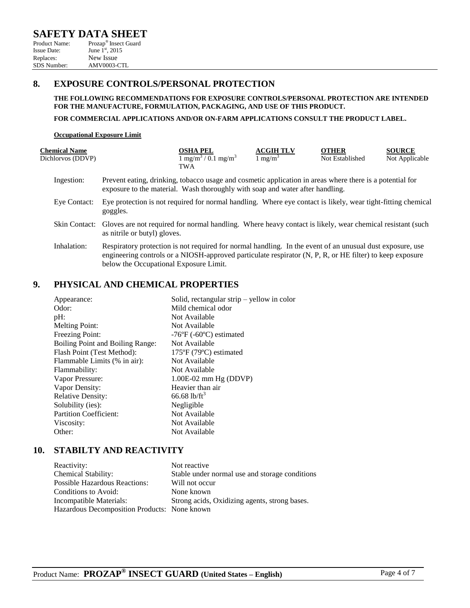| Product Name:      | Prozap <sup>-</sup> Insect Guard |
|--------------------|----------------------------------|
| <b>Issue Date:</b> | June $1^{st}$ , 2015             |
| Replaces:          | New Issue                        |
| SDS Number:        | AMV0003-CTL                      |

#### **8. EXPOSURE CONTROLS/PERSONAL PROTECTION**

**THE FOLLOWING RECOMMENDATIONS FOR EXPOSURE CONTROLS/PERSONAL PROTECTION ARE INTENDED FOR THE MANUFACTURE, FORMULATION, PACKAGING, AND USE OF THIS PRODUCT.**

**FOR COMMERCIAL APPLICATIONS AND/OR ON-FARM APPLICATIONS CONSULT THE PRODUCT LABEL.**

#### **Occupational Exposure Limit**

| <b>Chemical Name</b> |                                                                                                                                                                                                                                                                 | <b>OSHA PEL</b>                         | <b>ACGIH TLV</b>    | <b>OTHER</b>    | <b>SOURCE</b>  |
|----------------------|-----------------------------------------------------------------------------------------------------------------------------------------------------------------------------------------------------------------------------------------------------------------|-----------------------------------------|---------------------|-----------------|----------------|
| Dichlorvos (DDVP)    |                                                                                                                                                                                                                                                                 | $1 \text{ mg/m}^3 / 0.1 \text{ mg/m}^3$ | 1 mg/m <sup>3</sup> | Not Established | Not Applicable |
|                      |                                                                                                                                                                                                                                                                 | TWA                                     |                     |                 |                |
| Ingestion:           | Prevent eating, drinking, tobacco usage and cosmetic application in areas where there is a potential for<br>exposure to the material. Wash thoroughly with soap and water after handling.                                                                       |                                         |                     |                 |                |
| Eye Contact:         | Eye protection is not required for normal handling. Where eye contact is likely, wear tight-fitting chemical<br>goggles.                                                                                                                                        |                                         |                     |                 |                |
|                      | Skin Contact: Gloves are not required for normal handling. Where heavy contact is likely, wear chemical resistant (such<br>as nitrile or butyl) gloves.                                                                                                         |                                         |                     |                 |                |
| Inhalation:          | Respiratory protection is not required for normal handling. In the event of an unusual dust exposure, use<br>engineering controls or a NIOSH-approved particulate respirator (N, P, R, or HE filter) to keep exposure<br>below the Occupational Exposure Limit. |                                         |                     |                 |                |

## **9. PHYSICAL AND CHEMICAL PROPERTIES**

| Appearance:                      | Solid, rectangular strip $-$ yellow in color |
|----------------------------------|----------------------------------------------|
| Odor:                            | Mild chemical odor                           |
| $pH$ :                           | Not Available                                |
| <b>Melting Point:</b>            | Not Available                                |
| Freezing Point:                  | $-76$ °F ( $-60$ °C) estimated               |
| Boiling Point and Boiling Range: | Not Available                                |
| Flash Point (Test Method):       | $175^{\circ}F(79^{\circ}C)$ estimated        |
| Flammable Limits (% in air):     | Not Available                                |
| Flammability:                    | Not Available                                |
| Vapor Pressure:                  | $1.00E-02$ mm Hg (DDVP)                      |
| Vapor Density:                   | Heavier than air                             |
| <b>Relative Density:</b>         | 66.68 lb/ft <sup>3</sup>                     |
| Solubility (ies):                | Negligible                                   |
| <b>Partition Coefficient:</b>    | Not Available                                |
| Viscosity:                       | Not Available                                |
| Other:                           | Not Available                                |

#### **10. STABILTY AND REACTIVITY**

| Reactivity:                                  | Not reactive                                   |
|----------------------------------------------|------------------------------------------------|
| Chemical Stability:                          | Stable under normal use and storage conditions |
| <b>Possible Hazardous Reactions:</b>         | Will not occur                                 |
| Conditions to Avoid:                         | None known                                     |
| Incompatible Materials:                      | Strong acids, Oxidizing agents, strong bases.  |
| Hazardous Decomposition Products: None known |                                                |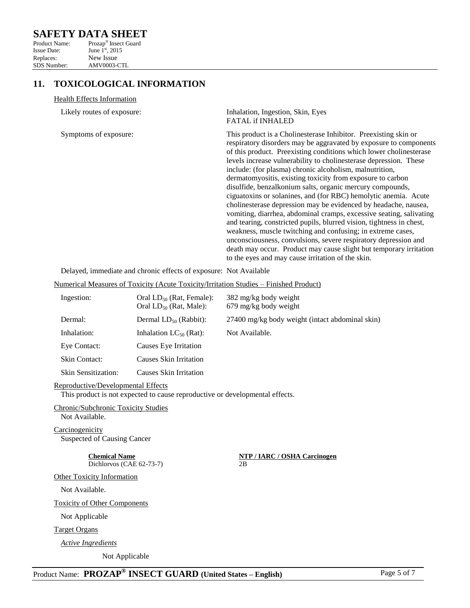## **SAFETY DATA SHEET**

| Product Name:      | Prozap <sup>®</sup> Insect Guard |
|--------------------|----------------------------------|
| <b>Issue Date:</b> | June 1 <sup>st</sup> , 2015      |
| Replaces:          | New Issue                        |
| <b>SDS</b> Number: | AMV0003-CTL                      |

## **11. TOXICOLOGICAL INFORMATION**

#### Health Effects Information

| Likely routes of exposure:                                        | Inhalation, Ingestion, Skin, Eyes<br><b>FATAL if INHALED</b>                                                                                                                                                                                                                                                                                                                                                                                                                                                                                                                                                                                                                                                                                                                                                                                                                                                                                                                                                            |
|-------------------------------------------------------------------|-------------------------------------------------------------------------------------------------------------------------------------------------------------------------------------------------------------------------------------------------------------------------------------------------------------------------------------------------------------------------------------------------------------------------------------------------------------------------------------------------------------------------------------------------------------------------------------------------------------------------------------------------------------------------------------------------------------------------------------------------------------------------------------------------------------------------------------------------------------------------------------------------------------------------------------------------------------------------------------------------------------------------|
| Symptoms of exposure:                                             | This product is a Cholinesterase Inhibitor. Preexisting skin or<br>respiratory disorders may be aggravated by exposure to components<br>of this product. Preexisting conditions which lower cholinesterase<br>levels increase vulnerability to cholinesterase depression. These<br>include: (for plasma) chronic alcoholism, malnutrition,<br>dermatomyositis, existing toxicity from exposure to carbon<br>disulfide, benzalkonium salts, organic mercury compounds,<br>ciguatoxins or solanines, and (for RBC) hemolytic anemia. Acute<br>cholinesterase depression may be evidenced by headache, nausea,<br>vomiting, diarrhea, abdominal cramps, excessive seating, salivating<br>and tearing, constricted pupils, blurred vision, tightness in chest,<br>weakness, muscle twitching and confusing; in extreme cases,<br>unconsciousness, convulsions, severe respiratory depression and<br>death may occur. Product may cause slight but temporary irritation<br>to the eyes and may cause irritation of the skin. |
| Delayed, immediate and chronic effects of exposure: Not Available |                                                                                                                                                                                                                                                                                                                                                                                                                                                                                                                                                                                                                                                                                                                                                                                                                                                                                                                                                                                                                         |

Numerical Measures of Toxicity (Acute Toxicity/Irritation Studies – Finished Product)

| Ingestion:                 | Oral $LD_{50}$ (Rat, Female):<br>Oral $LD_{50}$ (Rat, Male): | 382 mg/kg body weight<br>$679 \text{ mg/kg}$ body weight |
|----------------------------|--------------------------------------------------------------|----------------------------------------------------------|
| Dermal:                    | Dermal $LD_{50}$ (Rabbit):                                   | 27400 mg/kg body weight (intact abdominal skin)          |
| Inhalation:                | Inhalation $LC_{50}$ (Rat):                                  | Not Available.                                           |
| Eye Contact:               | Causes Eye Irritation                                        |                                                          |
| Skin Contact:              | Causes Skin Irritation                                       |                                                          |
| <b>Skin Sensitization:</b> | <b>Causes Skin Irritation</b>                                |                                                          |

#### Reproductive/Developmental Effects

This product is not expected to cause reproductive or developmental effects.

Chronic/Subchronic Toxicity Studies Not Available.

**Carcinogenicity** Suspected of Causing Cancer

Dichlorvos (CAE 62-73-7)

**Chemical Name**<br> **Dichlorvos (CAE 62-73-7)**<br> **NTP / IARC / OSHA Carcinogen**<br> **2B** 

Not Available.

Toxicity of Other Components

Other Toxicity Information

Not Applicable

Target Organs

*Active Ingredients*

Not Applicable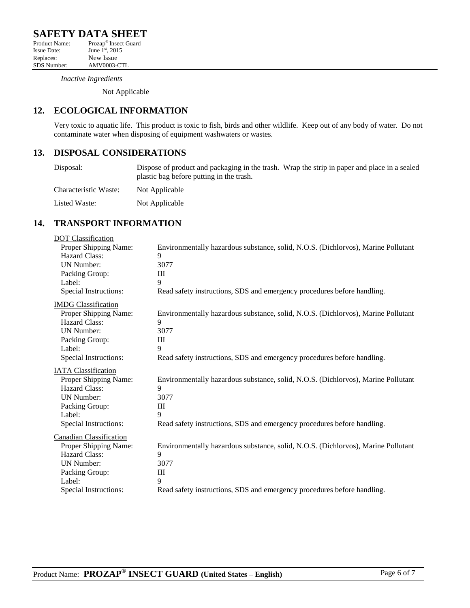*Inactive Ingredients*

Not Applicable

# **12. ECOLOGICAL INFORMATION**

AMV0003-CTL

Very toxic to aquatic life. This product is toxic to fish, birds and other wildlife. Keep out of any body of water. Do not contaminate water when disposing of equipment washwaters or wastes.

## **13. DISPOSAL CONSIDERATIONS**

| Disposal:             | Dispose of product and packaging in the trash. Wrap the strip in paper and place in a sealed<br>plastic bag before putting in the trash. |  |
|-----------------------|------------------------------------------------------------------------------------------------------------------------------------------|--|
| Characteristic Waste: | Not Applicable                                                                                                                           |  |
| Listed Waste:         | Not Applicable                                                                                                                           |  |

## **14. TRANSPORT INFORMATION**

| <b>DOT</b> Classification      |                                                                                   |
|--------------------------------|-----------------------------------------------------------------------------------|
| Proper Shipping Name:          | Environmentally hazardous substance, solid, N.O.S. (Dichlorvos), Marine Pollutant |
| Hazard Class:                  | 9                                                                                 |
| <b>UN Number:</b>              | 3077                                                                              |
| Packing Group:                 | Ш                                                                                 |
| Label:                         | 9                                                                                 |
| Special Instructions:          | Read safety instructions, SDS and emergency procedures before handling.           |
| <b>IMDG</b> Classification     |                                                                                   |
| Proper Shipping Name:          | Environmentally hazardous substance, solid, N.O.S. (Dichlorvos), Marine Pollutant |
| Hazard Class:                  | 9                                                                                 |
| <b>UN Number:</b>              | 3077                                                                              |
| Packing Group:                 | Ш                                                                                 |
| Label:                         | 9                                                                                 |
| Special Instructions:          | Read safety instructions, SDS and emergency procedures before handling.           |
| <b>IATA Classification</b>     |                                                                                   |
| Proper Shipping Name:          | Environmentally hazardous substance, solid, N.O.S. (Dichlorvos), Marine Pollutant |
| <b>Hazard Class:</b>           | 9                                                                                 |
| <b>UN Number:</b>              | 3077                                                                              |
| Packing Group:                 | Ш                                                                                 |
| Label:                         | 9                                                                                 |
| Special Instructions:          | Read safety instructions, SDS and emergency procedures before handling.           |
| <b>Canadian Classification</b> |                                                                                   |
| Proper Shipping Name:          | Environmentally hazardous substance, solid, N.O.S. (Dichlorvos), Marine Pollutant |
| Hazard Class:                  | 9                                                                                 |
|                                | 3077                                                                              |
| UN Number:                     |                                                                                   |
| Packing Group:                 | Ш                                                                                 |
| Label:                         | 9                                                                                 |